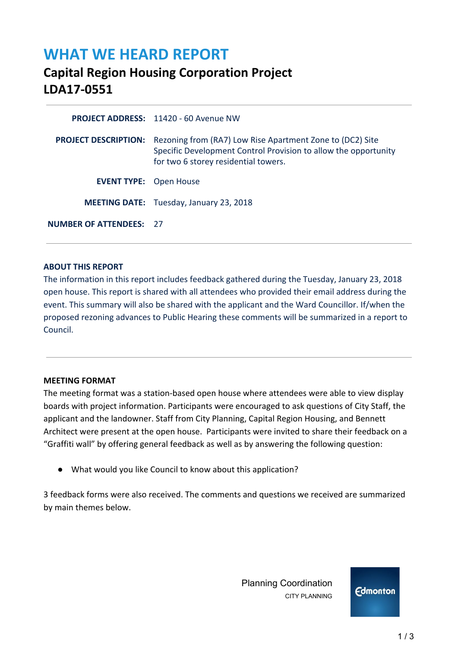# **WHAT WE HEARD REPORT**

# **Capital Region Housing Corporation Project LDA17-0551**

**PROJECT ADDRESS:** 11420 - 60 Avenue NW **PROJECT DESCRIPTION:** Rezoning from (RA7) Low Rise Apartment Zone to (DC2) Site Specific Development Control Provision to allow the opportunity for two 6 storey residential towers. **EVENT TYPE:** Open House  **MEETING DATE:** Tuesday, January 23, 2018 **NUMBER OF ATTENDEES:** 27

#### **ABOUT THIS REPORT**

The information in this report includes feedback gathered during the Tuesday, January 23, 2018 open house. This report is shared with all attendees who provided their email address during the event. This summary will also be shared with the applicant and the Ward Councillor. If/when the proposed rezoning advances to Public Hearing these comments will be summarized in a report to Council.

#### **MEETING FORMAT**

The meeting format was a station-based open house where attendees were able to view display boards with project information. Participants were encouraged to ask questions of City Staff, the applicant and the landowner. Staff from City Planning, Capital Region Housing, and Bennett Architect were present at the open house. Participants were invited to share their feedback on a "Graffiti wall" by offering general feedback as well as by answering the following question:

● What would you like Council to know about this application?

3 feedback forms were also received. The comments and questions we received are summarized by main themes below.

> Planning Coordination CITY PLANNING

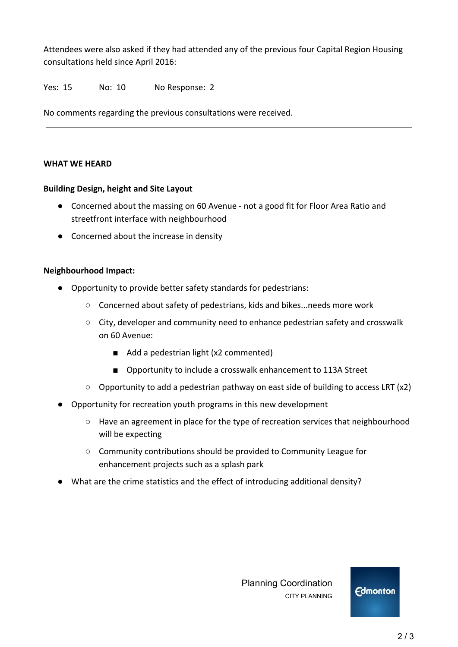Attendees were also asked if they had attended any of the previous four Capital Region Housing consultations held since April 2016:

### Yes: 15 No: 10 No Response: 2

No comments regarding the previous consultations were received.

#### **WHAT WE HEARD**

#### **Building Design, height and Site Layout**

- Concerned about the massing on 60 Avenue not a good fit for Floor Area Ratio and streetfront interface with neighbourhood
- Concerned about the increase in density

#### **Neighbourhood Impact:**

- Opportunity to provide better safety standards for pedestrians:
	- Concerned about safety of pedestrians, kids and bikes...needs more work
	- City, developer and community need to enhance pedestrian safety and crosswalk on 60 Avenue:
		- Add a pedestrian light (x2 commented)
		- Opportunity to include a crosswalk enhancement to 113A Street
	- $\circ$  Opportunity to add a pedestrian pathway on east side of building to access LRT (x2)
- Opportunity for recreation youth programs in this new development
	- Have an agreement in place for the type of recreation services that neighbourhood will be expecting
	- Community contributions should be provided to Community League for enhancement projects such as a splash park
- What are the crime statistics and the effect of introducing additional density?

 Planning Coordination CITY PLANNING

**Edmonton** 

2 / 3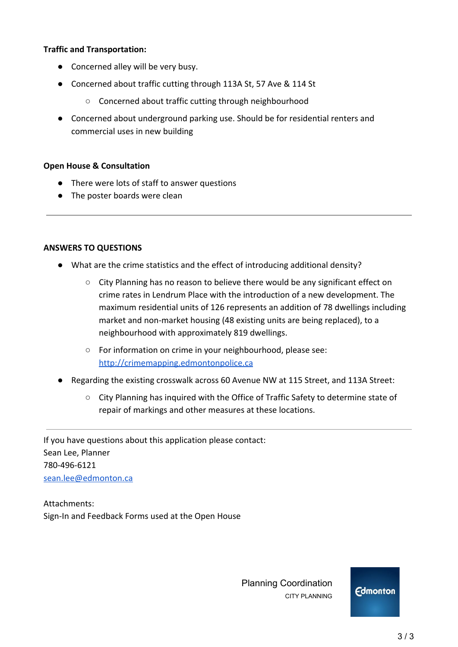### **Traffic and Transportation:**

- Concerned alley will be very busy.
- Concerned about traffic cutting through 113A St, 57 Ave & 114 St
	- Concerned about traffic cutting through neighbourhood
- Concerned about underground parking use. Should be for residential renters and commercial uses in new building

#### **Open House & Consultation**

- There were lots of staff to answer questions
- The poster boards were clean

#### **ANSWERS TO QUESTIONS**

- What are the crime statistics and the effect of introducing additional density?
	- City Planning has no reason to believe there would be any significant effect on crime rates in Lendrum Place with the introduction of a new development. The maximum residential units of 126 represents an addition of 78 dwellings including market and non-market housing (48 existing units are being replaced), to a neighbourhood with approximately 819 dwellings.
	- For information on crime in your neighbourhood, please see: [http://crimemapping.edmontonpolice.ca](http://crimemapping.edmontonpolice.ca/)
- Regarding the existing crosswalk across 60 Avenue NW at 115 Street, and 113A Street:
	- City Planning has inquired with the Office of Traffic Safety to determine state of repair of markings and other measures at these locations.

If you have questions about this application please contact: Sean Lee, Planner 780-496-6121 [sean.lee@edmonton.ca](mailto:sean.lee@edmonton.ca)

Attachments: Sign-In and Feedback Forms used at the Open House

> Planning Coordination CITY PLANNING

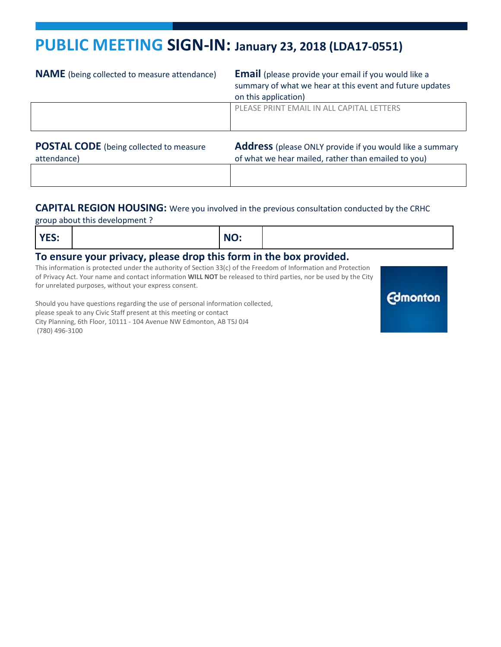# **PUBLIC MEETING SIGN-IN: January 23, 2018 (LDA17-0551)**

| <b>NAME</b> (being collected to measure attendance)           | <b>Email</b> (please provide your email if you would like a<br>summary of what we hear at this event and future updates<br>on this application) |
|---------------------------------------------------------------|-------------------------------------------------------------------------------------------------------------------------------------------------|
|                                                               | PLEASE PRINT EMAIL IN ALL CAPITAL LETTERS                                                                                                       |
| <b>POSTAL CODE</b> (being collected to measure<br>attendance) | <b>Address</b> (please ONLY provide if you would like a summary<br>of what we hear mailed, rather than emailed to you)                          |

#### **CAPITAL REGION HOUSING:** Were you involved in the previous consultation conducted by the CRHC

group about this development ?

| $\mathbf{M}$<br>TEJ.     |  |  | NO: |  |     |  |
|--------------------------|--|--|-----|--|-----|--|
| $\overline{\phantom{a}}$ |  |  | .   |  | . . |  |

**Edmonton** 

#### **To ensure your privacy, please drop this form in the box provided.**

This information is protected under the authority of Section 33(c) of the Freedom of Information and Protection of Privacy Act. Your name and contact information **WILL NOT** be released to third parties, nor be used by the City for unrelated purposes, without your express consent.

Should you have questions regarding the use of personal information collected, please speak to any Civic Staff present at this meeting or contact City Planning, 6th Floor, 10111 - 104 Avenue NW Edmonton, AB T5J 0J4 (780) 496-3100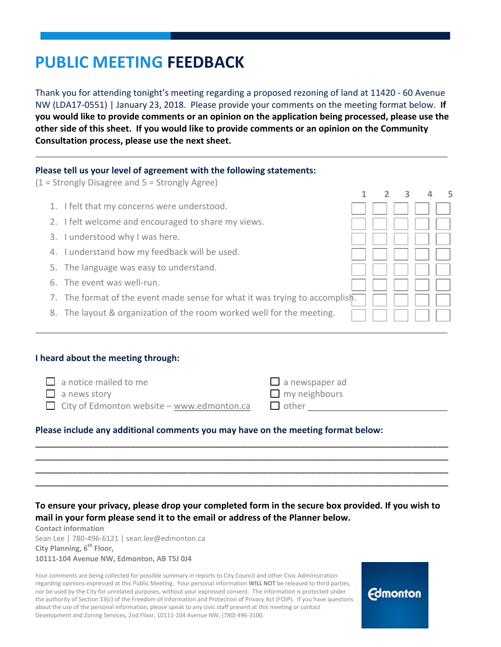# **PUBLIC MEETING FEEDBACK**

Thank you for attending tonight's meeting regarding a proposed rezoning of land at 11420 - 60 Avenue NW (LDA17-0551) | January 23, 2018. Please provide your comments on the meeting format below. **If you would like to provide comments or an opinion on the application being processed, please use the other side of this sheet. If you would like to provide comments or an opinion on the Community Consultation process, please use the next sheet.**

## **Please tell us your level of agreement with the following statements:**

(1 = Strongly Disagree and 5 = Strongly Agree)

- 1. I felt that my concerns were understood.
- 2. I felt welcome and encouraged to share my views.
- 3. I understood why I was here.
- 4. I understand how my feedback will be used.
- 5. The language was easy to understand.
- 6. The event was well-run.
- 7. The format of the event made sense for what it was trying to accomplish.
- 8. The layout & organization of the room worked well for the meeting.

#### **I heard about the meeting through:**

| $\Box$ a notice mailed to me                      | $\Box$ a newspaper ad |
|---------------------------------------------------|-----------------------|
| $\Box$ a news story                               | $\Box$ my neighbours  |
| $\Box$ City of Edmonton website – www.edmonton.ca | $\Box$ other          |

\_\_\_\_\_\_\_\_\_\_\_\_\_\_\_\_\_\_\_\_\_\_\_\_\_\_\_\_\_\_\_\_\_\_\_\_\_\_\_\_\_\_\_\_\_\_\_\_\_\_\_\_\_\_\_\_\_\_\_\_\_\_\_\_\_\_\_\_\_\_\_\_\_\_\_\_\_\_ \_\_\_\_\_\_\_\_\_\_\_\_\_\_\_\_\_\_\_\_\_\_\_\_\_\_\_\_\_\_\_\_\_\_\_\_\_\_\_\_\_\_\_\_\_\_\_\_\_\_\_\_\_\_\_\_\_\_\_\_\_\_\_\_\_\_\_\_\_\_\_\_\_\_\_\_\_\_ \_\_\_\_\_\_\_\_\_\_\_\_\_\_\_\_\_\_\_\_\_\_\_\_\_\_\_\_\_\_\_\_\_\_\_\_\_\_\_\_\_\_\_\_\_\_\_\_\_\_\_\_\_\_\_\_\_\_\_\_\_\_\_\_\_\_\_\_\_\_\_\_\_\_\_\_\_\_ \_\_\_\_\_\_\_\_\_\_\_\_\_\_\_\_\_\_\_\_\_\_\_\_\_\_\_\_\_\_\_\_\_\_\_\_\_\_\_\_\_\_\_\_\_\_\_\_\_\_\_\_\_\_\_\_\_\_\_\_\_\_\_\_\_\_\_\_\_\_\_\_\_\_\_\_\_\_

#### **Please include any additional comments you may have on the meeting format below:**

## **To ensure your privacy, please drop your completed form in the secure box provided. If you wish to mail in your form please send it to the email or address of the Planner below.**

**Contact information** Sean Lee | 780-496-6121 | sean.lee@edmonton.ca **City Planning, 6<sup>th</sup> Floor, 10111-104 Avenue NW, Edmonton, AB T5J 0J4**

Your comments are being collected for possible summary in reports to City Council and other Civic Administration regarding opinions expressed at this Public Meeting. Your personal information **WILL NOT** be released to third parties, nor be used by the City for unrelated purposes, without your expressed consent. The information is protected under the authority of Section 33(c) of the Freedom of Information and Protection of Privacy Act (FOIP). If you have questions about the use of the personal information, please speak to any civic staff present at this meeting or contact Development and Zoning Services, 2nd Floor, 10111-104 Avenue NW, (780) 496-3100.



**1 2 3 4 5**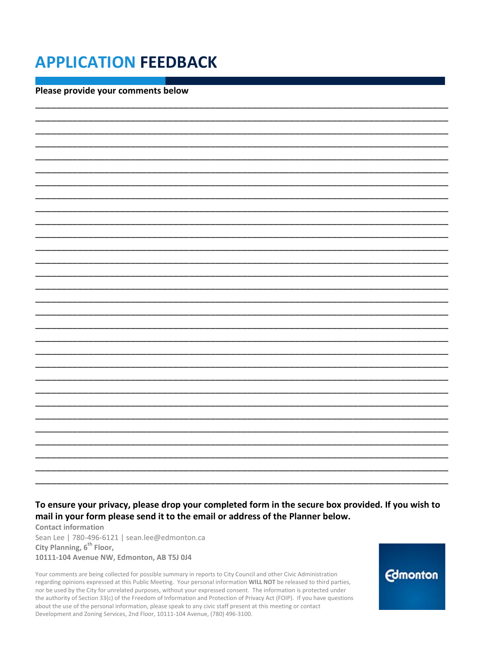# **APPLICATION FEEDBACK**

Please provide your comments below

## To ensure your privacy, please drop your completed form in the secure box provided. If you wish to mail in your form please send it to the email or address of the Planner below.

**Contact information** Sean Lee | 780-496-6121 | sean.lee@edmonton.ca City Planning, 6<sup>th</sup> Floor, 10111-104 Avenue NW, Edmonton, AB T5J 0J4

Your comments are being collected for possible summary in reports to City Council and other Civic Administration regarding opinions expressed at this Public Meeting. Your personal information WILL NOT be released to third parties, nor be used by the City for unrelated purposes, without your expressed consent. The information is protected under the authority of Section 33(c) of the Freedom of Information and Protection of Privacy Act (FOIP). If you have questions about the use of the personal information, please speak to any civic staff present at this meeting or contact Development and Zoning Services, 2nd Floor, 10111-104 Avenue, (780) 496-3100.